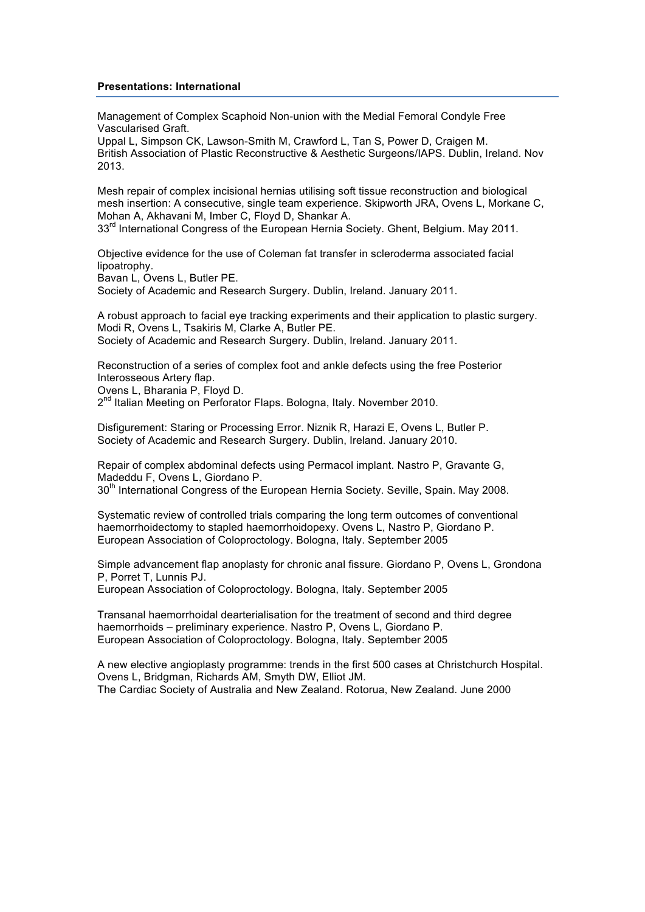## **Presentations: International**

Management of Complex Scaphoid Non-union with the Medial Femoral Condyle Free Vascularised Graft.

Uppal L, Simpson CK, Lawson-Smith M, Crawford L, Tan S, Power D, Craigen M. British Association of Plastic Reconstructive & Aesthetic Surgeons/IAPS. Dublin, Ireland. Nov 2013.

Mesh repair of complex incisional hernias utilising soft tissue reconstruction and biological mesh insertion: A consecutive, single team experience. Skipworth JRA, Ovens L, Morkane C, Mohan A, Akhavani M, Imber C, Floyd D, Shankar A.

33<sup>rd</sup> International Congress of the European Hernia Society. Ghent, Belgium. May 2011.

Objective evidence for the use of Coleman fat transfer in scleroderma associated facial lipoatrophy.

Bavan L, Ovens L, Butler PE.

Society of Academic and Research Surgery. Dublin, Ireland. January 2011.

A robust approach to facial eye tracking experiments and their application to plastic surgery. Modi R, Ovens L, Tsakiris M, Clarke A, Butler PE. Society of Academic and Research Surgery. Dublin, Ireland. January 2011.

Reconstruction of a series of complex foot and ankle defects using the free Posterior Interosseous Artery flap.

Ovens L, Bharania P, Floyd D.

2<sup>nd</sup> Italian Meeting on Perforator Flaps. Bologna, Italy. November 2010.

Disfigurement: Staring or Processing Error. Niznik R, Harazi E, Ovens L, Butler P. Society of Academic and Research Surgery. Dublin, Ireland. January 2010.

Repair of complex abdominal defects using Permacol implant. Nastro P, Gravante G, Madeddu F, Ovens L, Giordano P.

30<sup>th</sup> International Congress of the European Hernia Society. Seville, Spain. May 2008.

Systematic review of controlled trials comparing the long term outcomes of conventional haemorrhoidectomy to stapled haemorrhoidopexy. Ovens L, Nastro P, Giordano P. European Association of Coloproctology. Bologna, Italy. September 2005

Simple advancement flap anoplasty for chronic anal fissure. Giordano P, Ovens L, Grondona P, Porret T, Lunnis PJ.

European Association of Coloproctology. Bologna, Italy. September 2005

Transanal haemorrhoidal dearterialisation for the treatment of second and third degree haemorrhoids – preliminary experience. Nastro P, Ovens L, Giordano P. European Association of Coloproctology. Bologna, Italy. September 2005

A new elective angioplasty programme: trends in the first 500 cases at Christchurch Hospital. Ovens L, Bridgman, Richards AM, Smyth DW, Elliot JM. The Cardiac Society of Australia and New Zealand. Rotorua, New Zealand. June 2000